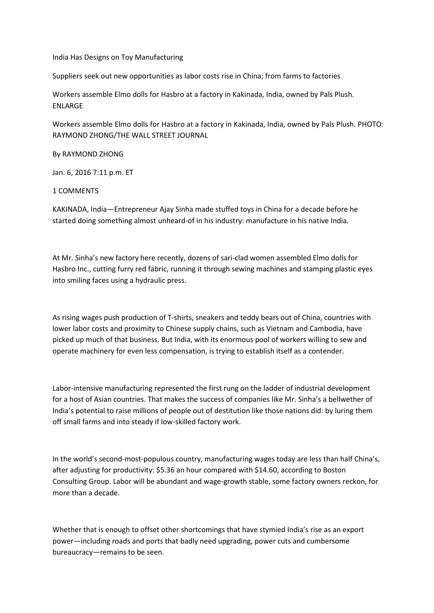## India Has Designs on Toy Manufacturing

Suppliers seek out new opportunities as labor costs rise in China; from farms to factories

Workers assemble Elmo dolls for Hasbro at a factory in Kakinada, India, owned by Pals Plush. ENLARGE

Workers assemble Elmo dolls for Hasbro at a factory in Kakinada, India, owned by Pals Plush. PHOTO: RAYMOND ZHONG/THE WALL STREET JOURNAL

## By RAYMOND ZHONG

Jan. 6, 2016 7:11 p.m. ET

## 1 COMMENTS

KAKINADA, India—Entrepreneur Ajay Sinha made stuffed toys in China for a decade before he started doing something almost unheard-of in his industry: manufacture in his native India.

At Mr. Sinha's new factory here recently, dozens of sari-clad women assembled Elmo dolls for Hasbro Inc., cutting furry red fabric, running it through sewing machines and stamping plastic eyes into smiling faces using a hydraulic press.

As rising wages push production of T-shirts, sneakers and teddy bears out of China, countries with lower labor costs and proximity to Chinese supply chains, such as Vietnam and Cambodia, have picked up much of that business. But India, with its enormous pool of workers willing to sew and operate machinery for even less compensation, is trying to establish itself as a contender.

Labor-intensive manufacturing represented the first rung on the ladder of industrial development for a host of Asian countries. That makes the success of companies like Mr. Sinha's a bellwether of India's potential to raise millions of people out of destitution like those nations did: by luring them off small farms and into steady if low-skilled factory work.

In the world's second-most-populous country, manufacturing wages today are less than half China's, after adjusting for productivity: \$5.36 an hour compared with \$14.60, according to Boston Consulting Group. Labor will be abundant and wage-growth stable, some factory owners reckon, for more than a decade.

Whether that is enough to offset other shortcomings that have stymied India's rise as an export power—including roads and ports that badly need upgrading, power cuts and cumbersome bureaucracy—remains to be seen.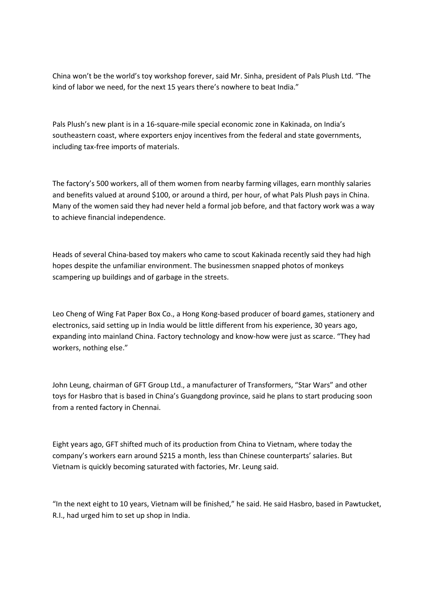China won't be the world's toy workshop forever, said Mr. Sinha, president of Pals Plush Ltd. "The kind of labor we need, for the next 15 years there's nowhere to beat India."

Pals Plush's new plant is in a 16-square-mile special economic zone in Kakinada, on India's southeastern coast, where exporters enjoy incentives from the federal and state governments, including tax-free imports of materials.

The factory's 500 workers, all of them women from nearby farming villages, earn monthly salaries and benefits valued at around \$100, or around a third, per hour, of what Pals Plush pays in China. Many of the women said they had never held a formal job before, and that factory work was a way to achieve financial independence.

Heads of several China-based toy makers who came to scout Kakinada recently said they had high hopes despite the unfamiliar environment. The businessmen snapped photos of monkeys scampering up buildings and of garbage in the streets.

Leo Cheng of Wing Fat Paper Box Co., a Hong Kong-based producer of board games, stationery and electronics, said setting up in India would be little different from his experience, 30 years ago, expanding into mainland China. Factory technology and know-how were just as scarce. "They had workers, nothing else."

John Leung, chairman of GFT Group Ltd., a manufacturer of Transformers, "Star Wars" and other toys for Hasbro that is based in China's Guangdong province, said he plans to start producing soon from a rented factory in Chennai.

Eight years ago, GFT shifted much of its production from China to Vietnam, where today the company's workers earn around \$215 a month, less than Chinese counterparts' salaries. But Vietnam is quickly becoming saturated with factories, Mr. Leung said.

"In the next eight to 10 years, Vietnam will be finished," he said. He said Hasbro, based in Pawtucket, R.I., had urged him to set up shop in India.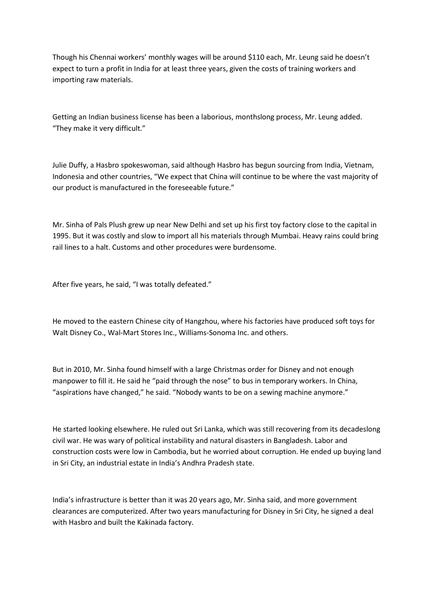Though his Chennai workers' monthly wages will be around \$110 each, Mr. Leung said he doesn't expect to turn a profit in India for at least three years, given the costs of training workers and importing raw materials.

Getting an Indian business license has been a laborious, monthslong process, Mr. Leung added. "They make it very difficult."

Julie Duffy, a Hasbro spokeswoman, said although Hasbro has begun sourcing from India, Vietnam, Indonesia and other countries, "We expect that China will continue to be where the vast majority of our product is manufactured in the foreseeable future."

Mr. Sinha of Pals Plush grew up near New Delhi and set up his first toy factory close to the capital in 1995. But it was costly and slow to import all his materials through Mumbai. Heavy rains could bring rail lines to a halt. Customs and other procedures were burdensome.

After five years, he said, "I was totally defeated."

He moved to the eastern Chinese city of Hangzhou, where his factories have produced soft toys for Walt Disney Co., Wal-Mart Stores Inc., Williams-Sonoma Inc. and others.

But in 2010, Mr. Sinha found himself with a large Christmas order for Disney and not enough manpower to fill it. He said he "paid through the nose" to bus in temporary workers. In China, "aspirations have changed," he said. "Nobody wants to be on a sewing machine anymore."

He started looking elsewhere. He ruled out Sri Lanka, which was still recovering from its decadeslong civil war. He was wary of political instability and natural disasters in Bangladesh. Labor and construction costs were low in Cambodia, but he worried about corruption. He ended up buying land in Sri City, an industrial estate in India's Andhra Pradesh state.

India's infrastructure is better than it was 20 years ago, Mr. Sinha said, and more government clearances are computerized. After two years manufacturing for Disney in Sri City, he signed a deal with Hasbro and built the Kakinada factory.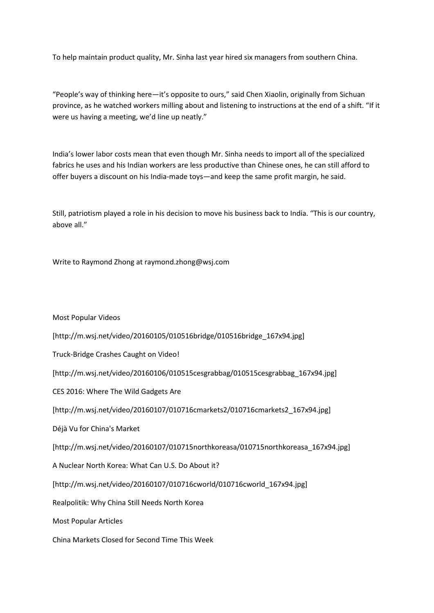To help maintain product quality, Mr. Sinha last year hired six managers from southern China.

"People's way of thinking here—it's opposite to ours," said Chen Xiaolin, originally from Sichuan province, as he watched workers milling about and listening to instructions at the end of a shift. "If it were us having a meeting, we'd line up neatly."

India's lower labor costs mean that even though Mr. Sinha needs to import all of the specialized fabrics he uses and his Indian workers are less productive than Chinese ones, he can still afford to offer buyers a discount on his India-made toys—and keep the same profit margin, he said.

Still, patriotism played a role in his decision to move his business back to India. "This is our country, above all."

Write to Raymond Zhong at raymond.zhong@wsj.com

Most Popular Videos

[http://m.wsj.net/video/20160105/010516bridge/010516bridge\_167x94.jpg]

Truck-Bridge Crashes Caught on Video!

[http://m.wsj.net/video/20160106/010515cesgrabbag/010515cesgrabbag\_167x94.jpg]

CES 2016: Where The Wild Gadgets Are

[http://m.wsj.net/video/20160107/010716cmarkets2/010716cmarkets2\_167x94.jpg]

Déjà Vu for China's Market

[http://m.wsj.net/video/20160107/010715northkoreasa/010715northkoreasa\_167x94.jpg]

A Nuclear North Korea: What Can U.S. Do About it?

[http://m.wsj.net/video/20160107/010716cworld/010716cworld\_167x94.jpg]

Realpolitik: Why China Still Needs North Korea

Most Popular Articles

China Markets Closed for Second Time This Week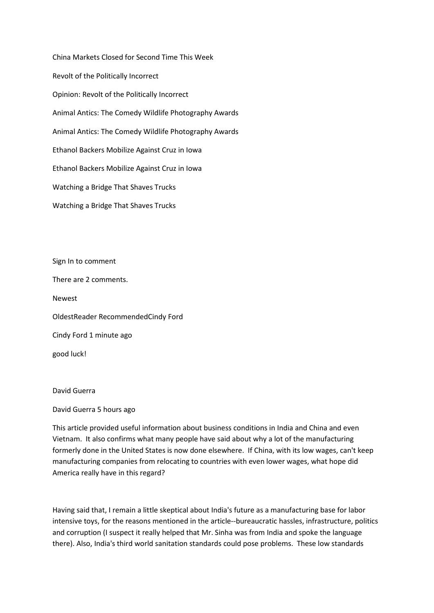China Markets Closed for Second Time This Week Revolt of the Politically Incorrect Opinion: Revolt of the Politically Incorrect Animal Antics: The Comedy Wildlife Photography Awards Animal Antics: The Comedy Wildlife Photography Awards Ethanol Backers Mobilize Against Cruz in Iowa Ethanol Backers Mobilize Against Cruz in Iowa Watching a Bridge That Shaves Trucks Watching a Bridge That Shaves Trucks

Sign In to comment There are 2 comments. Newest OldestReader RecommendedCindy Ford Cindy Ford 1 minute ago good luck!

## David Guerra

David Guerra 5 hours ago

This article provided useful information about business conditions in India and China and even Vietnam. It also confirms what many people have said about why a lot of the manufacturing formerly done in the United States is now done elsewhere. If China, with its low wages, can't keep manufacturing companies from relocating to countries with even lower wages, what hope did America really have in this regard?

Having said that, I remain a little skeptical about India's future as a manufacturing base for labor intensive toys, for the reasons mentioned in the article--bureaucratic hassles, infrastructure, politics and corruption (I suspect it really helped that Mr. Sinha was from India and spoke the language there). Also, India's third world sanitation standards could pose problems. These low standards